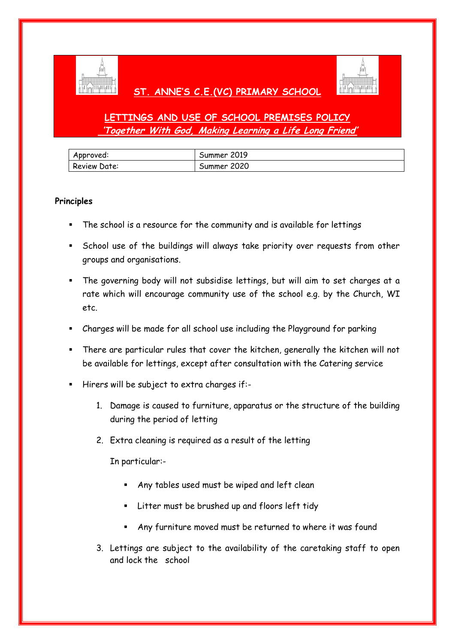

## **ST. ANNE'S C.E.(VC) PRIMARY SCHOOL**



# **LETTINGS AND USE OF SCHOOL PREMISES POLICY 'Together With God, Making Learning a Life Long Friend'**

| Approved:    | Summer 2019 |
|--------------|-------------|
| Review Date: | Summer 2020 |

### **Principles**

- The school is a resource for the community and is available for lettings
- School use of the buildings will always take priority over requests from other groups and organisations.
- The governing body will not subsidise lettings, but will aim to set charges at a rate which will encourage community use of the school e.g. by the Church, WI etc.
- Charges will be made for all school use including the Playground for parking
- There are particular rules that cover the kitchen, generally the kitchen will not be available for lettings, except after consultation with the Catering service
- Hirers will be subject to extra charges if:-
	- 1. Damage is caused to furniture, apparatus or the structure of the building during the period of letting
	- 2. Extra cleaning is required as a result of the letting

In particular:-

- Any tables used must be wiped and left clean
- **EXECT** Litter must be brushed up and floors left tidy
- Any furniture moved must be returned to where it was found
- 3. Lettings are subject to the availability of the caretaking staff to open and lock the school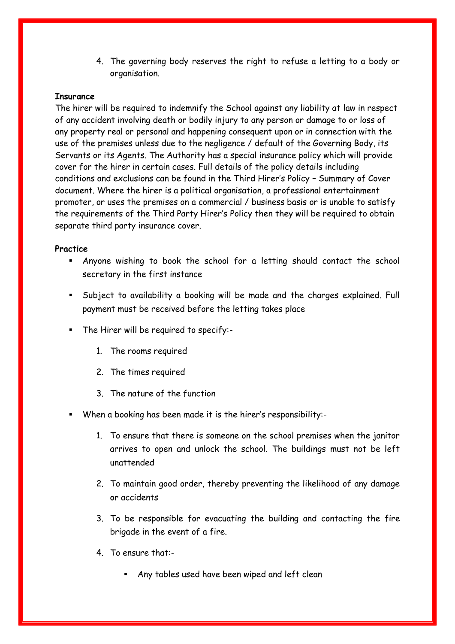4. The governing body reserves the right to refuse a letting to a body or organisation.

#### **Insurance**

The hirer will be required to indemnify the School against any liability at law in respect of any accident involving death or bodily injury to any person or damage to or loss of any property real or personal and happening consequent upon or in connection with the use of the premises unless due to the negligence / default of the Governing Body, its Servants or its Agents. The Authority has a special insurance policy which will provide cover for the hirer in certain cases. Full details of the policy details including conditions and exclusions can be found in the Third Hirer's Policy – Summary of Cover document. Where the hirer is a political organisation, a professional entertainment promoter, or uses the premises on a commercial / business basis or is unable to satisfy the requirements of the Third Party Hirer's Policy then they will be required to obtain separate third party insurance cover.

#### **Practice**

- Anyone wishing to book the school for a letting should contact the school secretary in the first instance
- Subject to availability a booking will be made and the charges explained. Full payment must be received before the letting takes place
- The Hirer will be required to specify:-
	- 1. The rooms required
	- 2. The times required
	- 3. The nature of the function
- When a booking has been made it is the hirer's responsibility:-
	- 1. To ensure that there is someone on the school premises when the janitor arrives to open and unlock the school. The buildings must not be left unattended
	- 2. To maintain good order, thereby preventing the likelihood of any damage or accidents
	- 3. To be responsible for evacuating the building and contacting the fire brigade in the event of a fire.
	- 4. To ensure that:-
		- Any tables used have been wiped and left clean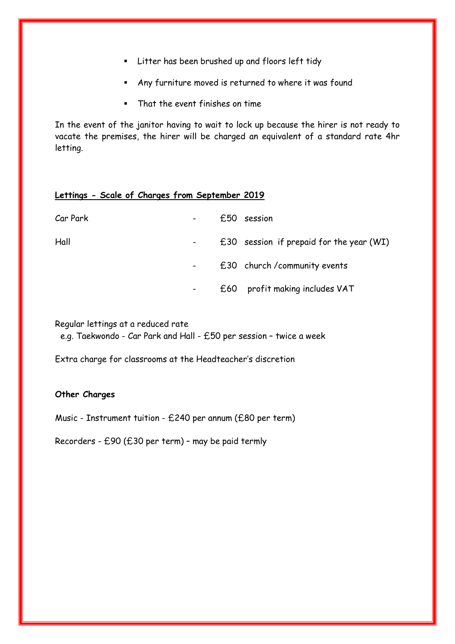- **EXECT:** Litter has been brushed up and floors left tidy
- Any furniture moved is returned to where it was found
- That the event finishes on time

In the event of the janitor having to wait to lock up because the hirer is not ready to vacate the premises, the hirer will be charged an equivalent of a standard rate 4hr letting.

### **Lettings - Scale of Charges from September 2019**

| Car Park | £50                          | session                                    |
|----------|------------------------------|--------------------------------------------|
| Hall     |                              | $£30$ session if prepaid for the year (WI) |
|          |                              | £30 church / community events              |
|          | $\qquad \qquad \blacksquare$ | £60 profit making includes VAT             |

Regular lettings at a reduced rate

e.g. Taekwondo - Car Park and Hall - £50 per session – twice a week

Extra charge for classrooms at the Headteacher's discretion

#### **Other Charges**

Music - Instrument tuition - £240 per annum (£80 per term)

Recorders - £90 (£30 per term) – may be paid termly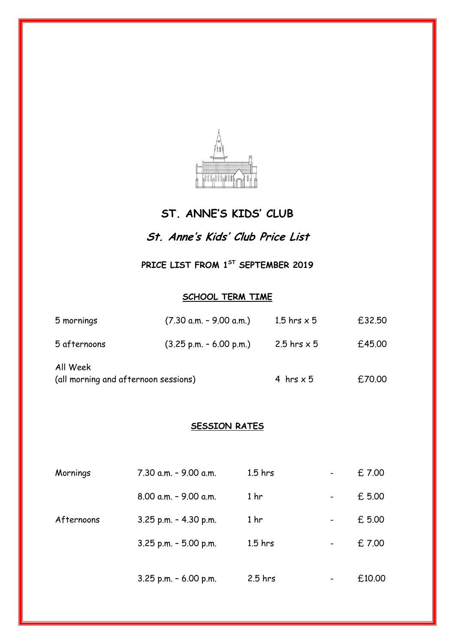

# **ST. ANNE'S KIDS' CLUB**

# **St. Anne's Kids' Club Price List**

**PRICE LIST FROM 1ST SEPTEMBER 2019**

### **SCHOOL TERM TIME**

| 5 mornings                                       | $(7.30$ a.m. - 9.00 a.m.)                 | 1.5 hrs $\times$ 5 | £32.50 |
|--------------------------------------------------|-------------------------------------------|--------------------|--------|
| 5 afternoons                                     | $(3.25 \text{ p.m.} - 6.00 \text{ p.m.})$ | 2.5 hrs $\times$ 5 | £45.00 |
| All Week<br>(all morning and afternoon sessions) |                                           | 4 hrs $\times$ 5   | £70.00 |

## **SESSION RATES**

| Mornings   | 7.30 a.m. - 9.00 a.m.     | $1.5$ hrs       | $\overline{\phantom{m}}$     | £7.00  |
|------------|---------------------------|-----------------|------------------------------|--------|
|            | $8.00$ a.m. $-$ 9.00 a.m. | 1 <sub>hr</sub> | $\overline{\phantom{a}}$     | £5.00  |
| Afternoons | 3.25 p.m. - 4.30 p.m.     | 1 <sub>hr</sub> | $\overline{\phantom{a}}$     | £ 5.00 |
|            | $3.25$ p.m. $-5.00$ p.m.  | $1.5$ hrs       | $\qquad \qquad \blacksquare$ | £7.00  |
|            | 3.25 p.m. - 6.00 p.m.     | $2.5$ hrs       |                              | £10.00 |